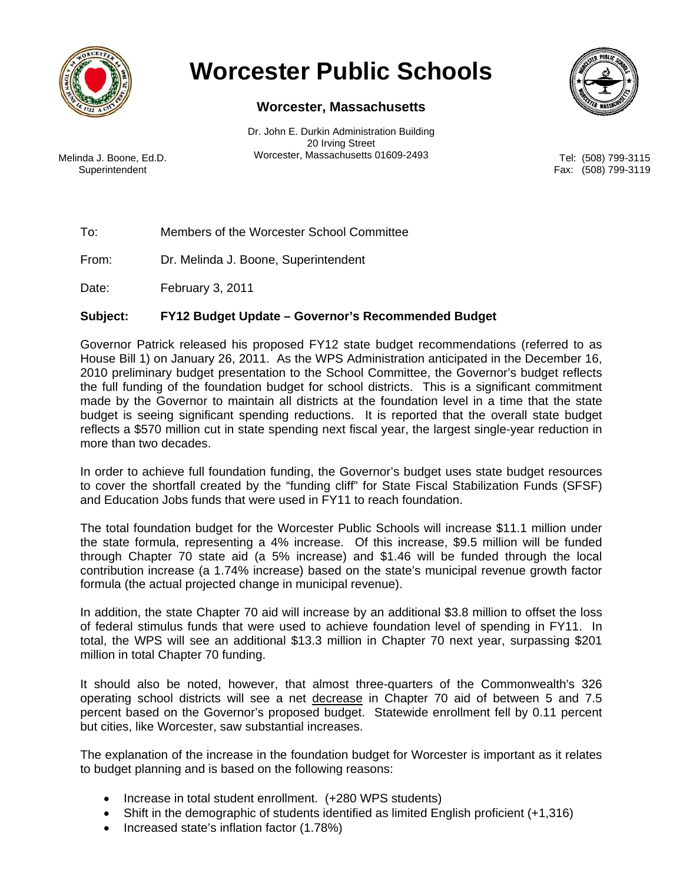

## **Worcester Public Schools**

## **Worcester, Massachusetts**

Dr. John E. Durkin Administration Building 20 Irving Street Melinda J. Boone, Ed.D. Worcester, Massachusetts 01609-2493

**Superintendent** 



Tel: (508) 799-3115 Fax: (508) 799-3119

To: Members of the Worcester School Committee

From: Dr. Melinda J. Boone, Superintendent

Date: February 3, 2011

## **Subject: FY12 Budget Update – Governor's Recommended Budget**

Governor Patrick released his proposed FY12 state budget recommendations (referred to as House Bill 1) on January 26, 2011. As the WPS Administration anticipated in the December 16, 2010 preliminary budget presentation to the School Committee, the Governor's budget reflects the full funding of the foundation budget for school districts. This is a significant commitment made by the Governor to maintain all districts at the foundation level in a time that the state budget is seeing significant spending reductions. It is reported that the overall state budget reflects a \$570 million cut in state spending next fiscal year, the largest single-year reduction in more than two decades.

In order to achieve full foundation funding, the Governor's budget uses state budget resources to cover the shortfall created by the "funding cliff" for State Fiscal Stabilization Funds (SFSF) and Education Jobs funds that were used in FY11 to reach foundation.

The total foundation budget for the Worcester Public Schools will increase \$11.1 million under the state formula, representing a 4% increase. Of this increase, \$9.5 million will be funded through Chapter 70 state aid (a 5% increase) and \$1.46 will be funded through the local contribution increase (a 1.74% increase) based on the state's municipal revenue growth factor formula (the actual projected change in municipal revenue).

In addition, the state Chapter 70 aid will increase by an additional \$3.8 million to offset the loss of federal stimulus funds that were used to achieve foundation level of spending in FY11. In total, the WPS will see an additional \$13.3 million in Chapter 70 next year, surpassing \$201 million in total Chapter 70 funding.

It should also be noted, however, that almost three-quarters of the Commonwealth's 326 operating school districts will see a net decrease in Chapter 70 aid of between 5 and 7.5 percent based on the Governor's proposed budget. Statewide enrollment fell by 0.11 percent but cities, like Worcester, saw substantial increases.

The explanation of the increase in the foundation budget for Worcester is important as it relates to budget planning and is based on the following reasons:

- Increase in total student enrollment. (+280 WPS students)
- Shift in the demographic of students identified as limited English proficient (+1,316)
- Increased state's inflation factor (1.78%)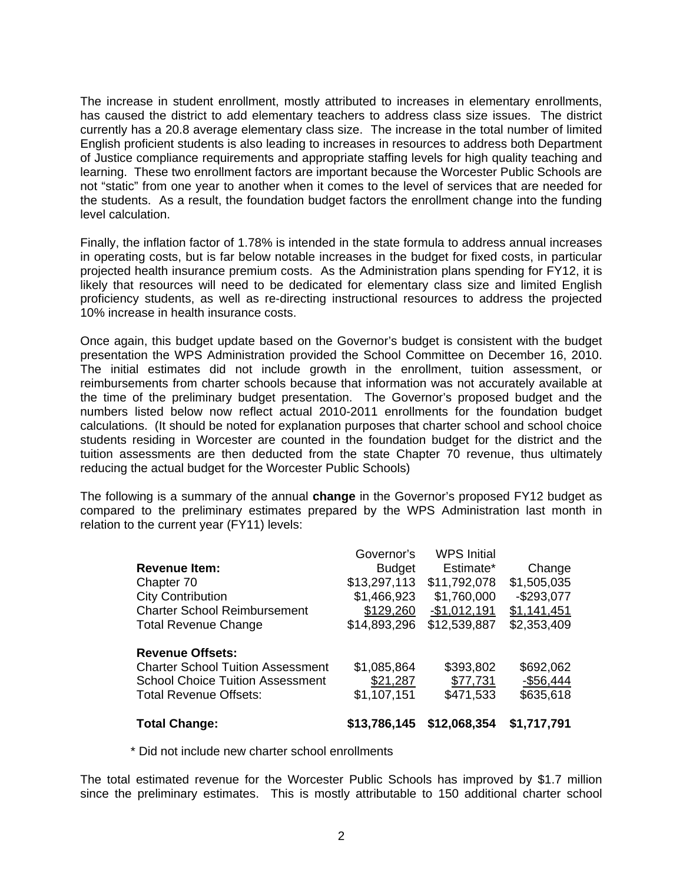The increase in student enrollment, mostly attributed to increases in elementary enrollments, has caused the district to add elementary teachers to address class size issues. The district currently has a 20.8 average elementary class size. The increase in the total number of limited English proficient students is also leading to increases in resources to address both Department of Justice compliance requirements and appropriate staffing levels for high quality teaching and learning. These two enrollment factors are important because the Worcester Public Schools are not "static" from one year to another when it comes to the level of services that are needed for the students. As a result, the foundation budget factors the enrollment change into the funding level calculation.

Finally, the inflation factor of 1.78% is intended in the state formula to address annual increases in operating costs, but is far below notable increases in the budget for fixed costs, in particular projected health insurance premium costs. As the Administration plans spending for FY12, it is likely that resources will need to be dedicated for elementary class size and limited English proficiency students, as well as re-directing instructional resources to address the projected 10% increase in health insurance costs.

Once again, this budget update based on the Governor's budget is consistent with the budget presentation the WPS Administration provided the School Committee on December 16, 2010. The initial estimates did not include growth in the enrollment, tuition assessment, or reimbursements from charter schools because that information was not accurately available at the time of the preliminary budget presentation. The Governor's proposed budget and the numbers listed below now reflect actual 2010-2011 enrollments for the foundation budget calculations. (It should be noted for explanation purposes that charter school and school choice students residing in Worcester are counted in the foundation budget for the district and the tuition assessments are then deducted from the state Chapter 70 revenue, thus ultimately reducing the actual budget for the Worcester Public Schools)

The following is a summary of the annual **change** in the Governor's proposed FY12 budget as compared to the preliminary estimates prepared by the WPS Administration last month in relation to the current year (FY11) levels:

| <b>Total Change:</b>                                                                                                                            | \$13,786,145                                                                            | \$12,068,354                                                                                    | \$1,717,791                                                        |
|-------------------------------------------------------------------------------------------------------------------------------------------------|-----------------------------------------------------------------------------------------|-------------------------------------------------------------------------------------------------|--------------------------------------------------------------------|
| <b>Revenue Offsets:</b><br><b>Charter School Tuition Assessment</b><br><b>School Choice Tuition Assessment</b><br><b>Total Revenue Offsets:</b> | \$1,085,864<br>\$21,287<br>\$1,107,151                                                  | \$393,802<br>\$77,731<br>\$471,533                                                              | \$692,062<br>$-$56,444$<br>\$635,618                               |
| <b>Revenue Item:</b><br>Chapter 70<br><b>City Contribution</b><br><b>Charter School Reimbursement</b><br><b>Total Revenue Change</b>            | Governor's<br><b>Budget</b><br>\$13,297,113<br>\$1,466,923<br>\$129,260<br>\$14,893,296 | <b>WPS Initial</b><br>Estimate*<br>\$11,792,078<br>\$1,760,000<br>$-$1,012,191$<br>\$12,539,887 | Change<br>\$1,505,035<br>$-$293,077$<br>\$1,141,451<br>\$2,353,409 |

\* Did not include new charter school enrollments

The total estimated revenue for the Worcester Public Schools has improved by \$1.7 million since the preliminary estimates. This is mostly attributable to 150 additional charter school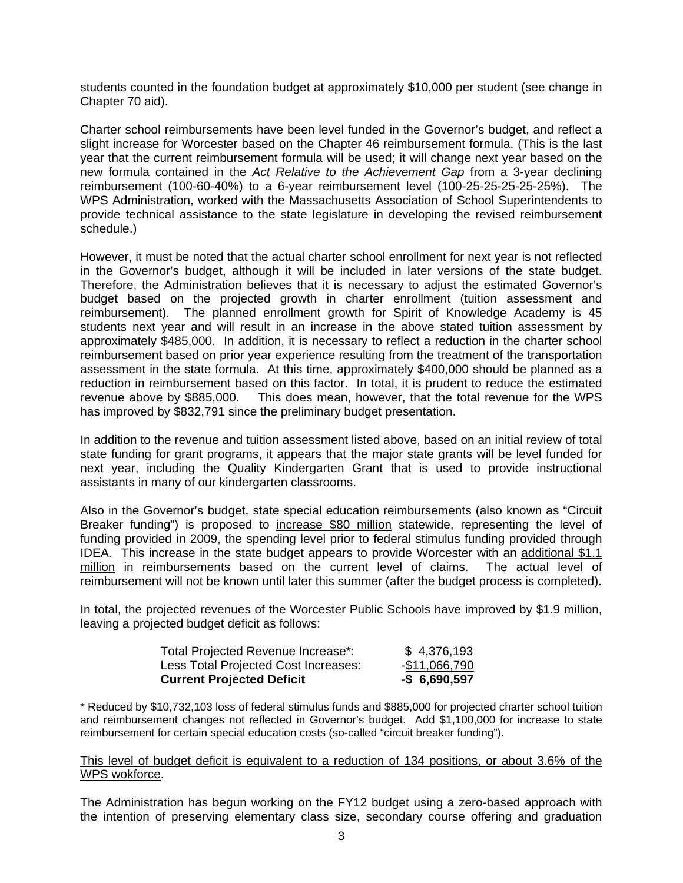students counted in the foundation budget at approximately \$10,000 per student (see change in Chapter 70 aid).

Charter school reimbursements have been level funded in the Governor's budget, and reflect a slight increase for Worcester based on the Chapter 46 reimbursement formula. (This is the last year that the current reimbursement formula will be used; it will change next year based on the new formula contained in the *Act Relative to the Achievement Gap* from a 3-year declining reimbursement (100-60-40%) to a 6-year reimbursement level (100-25-25-25-25-25%). The WPS Administration, worked with the Massachusetts Association of School Superintendents to provide technical assistance to the state legislature in developing the revised reimbursement schedule.)

However, it must be noted that the actual charter school enrollment for next year is not reflected in the Governor's budget, although it will be included in later versions of the state budget. Therefore, the Administration believes that it is necessary to adjust the estimated Governor's budget based on the projected growth in charter enrollment (tuition assessment and reimbursement). The planned enrollment growth for Spirit of Knowledge Academy is 45 students next year and will result in an increase in the above stated tuition assessment by approximately \$485,000. In addition, it is necessary to reflect a reduction in the charter school reimbursement based on prior year experience resulting from the treatment of the transportation assessment in the state formula. At this time, approximately \$400,000 should be planned as a reduction in reimbursement based on this factor. In total, it is prudent to reduce the estimated revenue above by \$885,000. This does mean, however, that the total revenue for the WPS has improved by \$832,791 since the preliminary budget presentation.

In addition to the revenue and tuition assessment listed above, based on an initial review of total state funding for grant programs, it appears that the major state grants will be level funded for next year, including the Quality Kindergarten Grant that is used to provide instructional assistants in many of our kindergarten classrooms.

Also in the Governor's budget, state special education reimbursements (also known as "Circuit Breaker funding") is proposed to increase \$80 million statewide, representing the level of funding provided in 2009, the spending level prior to federal stimulus funding provided through IDEA. This increase in the state budget appears to provide Worcester with an additional \$1.1 million in reimbursements based on the current level of claims. The actual level of reimbursement will not be known until later this summer (after the budget process is completed).

In total, the projected revenues of the Worcester Public Schools have improved by \$1.9 million, leaving a projected budget deficit as follows:

| Total Projected Revenue Increase*:   | \$4,376,193      |
|--------------------------------------|------------------|
| Less Total Projected Cost Increases: | $-$11,066,790$   |
| <b>Current Projected Deficit</b>     | $-$ \$ 6,690,597 |

\* Reduced by \$10,732,103 loss of federal stimulus funds and \$885,000 for projected charter school tuition and reimbursement changes not reflected in Governor's budget. Add \$1,100,000 for increase to state reimbursement for certain special education costs (so-called "circuit breaker funding").

This level of budget deficit is equivalent to a reduction of 134 positions, or about 3.6% of the WPS wokforce.

The Administration has begun working on the FY12 budget using a zero-based approach with the intention of preserving elementary class size, secondary course offering and graduation